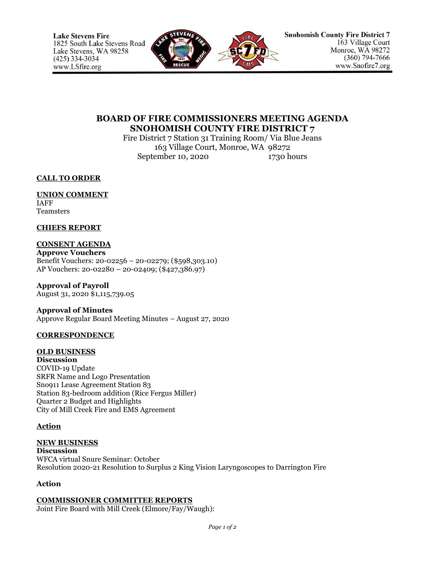

# **BOARD OF FIRE COMMISSIONERS MEETING AGENDA SNOHOMISH COUNTY FIRE DISTRICT 7**

Fire District 7 Station 31 Training Room/ Via Blue Jeans 163 Village Court, Monroe, WA 98272 September 10, 2020 1730 hours

**CALL TO ORDER**

#### **UNION COMMENT** IAFF

**Teamsters** 

### **CHIEFS REPORT**

## **CONSENT AGENDA**

**Approve Vouchers** Benefit Vouchers: 20-02256 – 20-02279; (\$598,303.10) AP Vouchers: 20-02280 – 20-02409; (\$427,386.97)

**Approval of Payroll** August 31, 2020 \$1,115,739.05

### **Approval of Minutes**

Approve Regular Board Meeting Minutes – August 27, 2020

## **CORRESPONDENCE**

## **OLD BUSINESS**

**Discussion** COVID-19 Update SRFR Name and Logo Presentation Sno911 Lease Agreement Station 83 Station 83-bedroom addition (Rice Fergus Miller) Quarter 2 Budget and Highlights City of Mill Creek Fire and EMS Agreement

## **Action**

#### **NEW BUSINESS Discussion** WFCA virtual Snure Seminar: October Resolution 2020-21 Resolution to Surplus 2 King Vision Laryngoscopes to Darrington Fire

## **Action**

## **COMMISSIONER COMMITTEE REPORTS**

Joint Fire Board with Mill Creek (Elmore/Fay/Waugh):